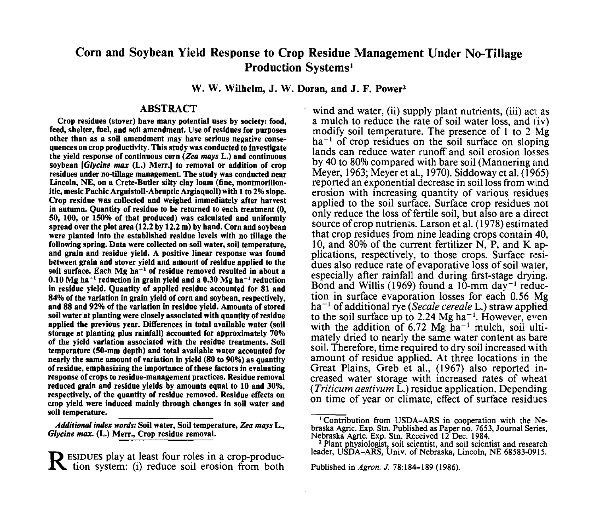# **Corn and Soybean Yield Response to Crop Residue Management Under No-Tillage Production Systems<sup>1</sup>**

**W. W. Wilhelm, J. W. Doran, and J. F. Power<sup>2</sup>**

### **ABSTRACT**

**Crop residues (stover) have many potential uses by society: food, feed, shelter, fuel, and soil amendment. Use of residues for purposes other than as a soil amendment may have serious negative consequences on crop productivity. This study was conducted to investigate the yield response of continuous corn** *(Zea mays* **L.) and continuous soybean** *[Glycine max* **(L.) Merr.) to removal or addition of crop residues under no-tillage management. The study was conducted near Lincoln, NE, on a Crete-Butler silty clay loam (fine, montmorillonitic, mesic Pachic Arguistoll-Abruptic Argiaquoll) with 1 to 2% slope. Crop residue was collected and weighed immediately after harvest in autumn. Quantity of residue to be returned to each treatment (0, 50, 100, or 150% of that produced) was calculated and uniformly spread over the plot area (12.2 by 12.2 m) by hand. Corn and soybean were planted into the established residue levels with no tillage the following spring. Data were collected on soil water, soil temperature, and grain and residue yield. A positive linear response was found between grain and stover yield and amount of residue applied to the soil surface. Each Mg ha"<sup>1</sup> of residue removed resulted in about a 0.10 Mg ha"<sup>1</sup> reduction in grain yield and a 0.30 Mg ha"<sup>1</sup> reduction in residue yield. Quantity of applied residue accounted for 81 and 84% of the variation in grain yield of corn and soybean, respectively, and 88 and 92% of the variation in residue yield. Amounts of stored soil water at planting were closely associated with quantity of residue applied the previous year. Differences in total available water (soil storage at planting plus rainfall) accounted for approximately 70% of the yield variation associated with the residue treatments. Soil temperature (50-mm depth) and total available water accounted for nearly the same amount of variation in yield (80 to 90%) as quantity of residue, emphasizing the importance of these factors in evaluating response of crops to residue-management practices. Residue removal reduced grain and residue yields by amounts equal to 10 and 30%, respectively, of the quantity of residue removed. Residue effects on crop yield were induced mainly through changes in soil water and soil temperature. \_\_\_\_\_\_\_\_\_\_\_\_\_\_**

*Additional index words:* **Soil water, Soil temperature,** *Zea mays* **L.,** *Glycine max.* **(L.) Merr., Crop residue removal.**

R ESIDUES play at least four roles in a crop-produc<br>tion system: (i) reduce soil erosion from both tion system: (i) reduce soil erosion from both

wind and water, (ii) supply plant nutrients, (iii) act as a mulch to reduce the rate of soil water loss, and (iv) modify soil temperature. The presence of  $1$  to  $2 \overline{Mg}$  $ha^{-1}$  of crop residues on the soil surface on sloping lands can reduce water runoff and soil erosion losses by 40 to 80% compared with bare soil (Mannering and Meyer, 1963; Meyer et al., 1970). Siddoway et al. (1965) reported an exponential decrease in soil loss from wind erosion with increasing quantity of various residues applied to the soil surface. Surface crop residues not only reduce the loss of fertile soil, but also are a direct source of crop nutrients. Larson et al. (1978) estimated that crop residues from nine leading crops contain 40, 10, and 80% of the current fertilizer N, P, and K applications, respectively, to those crops. Surface residues also reduce rate of evaporative loss of soil water. especially after rainfall and during first-stage drying. Bond and Willis (1969) found a  $10$ -mm day<sup>-1</sup> reduction in surface evaporation losses for each 0.56 Mg ha"<sup>1</sup> of additional rye *(Secale cereale* L.) straw applied to the soil surface up to 2.24 Mg ha<sup>-1</sup>. However, even with the addition of  $6.72 \text{ Mg} \text{ ha}^{-1}$  mulch, soil ultimately dried to nearly the same water content as bare soil. Therefore, time required to dry soil increased with amount of residue applied. At three locations in the Great Plains, Greb et al., (1967) also reported increased water storage with increased rates of wheat *(Triticum aestivum* L.) residue application. Depending on time of year or climate, effect of surface residues

Published in *Agron. J.* 78:184-189 (1986).

<sup>&</sup>lt;sup>1</sup>Contribution from USDA-ARS in cooperation with the Nebraska Agric. Exp. Stn. Published as Paper no. 7653, Journal Series, Nebraska Agric. Exp. Stn. Received 12 Dec. 1984.

<sup>&</sup>lt;sup>2</sup> Plant physiologist, soil scientist, and soil scientist and research leader, USDA-ARS, Univ. of Nebraska, Lincoln, NE 68583-0915.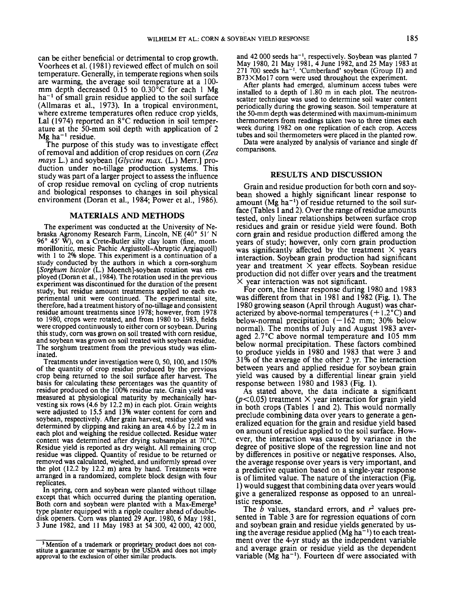can be either beneficial or detrimental to crop growth. Voorhees et al. (1981) reviewed effect of mulch on soil temperature. Generally, in temperate regions when soils are warming, the average soil temperature at a 100 mm depth decreased 0.15 to 0.30°C for each 1 Mg  $ha^{-1}$  of small grain residue applied to the soil surface (Allmaras et al., 1973). In a tropical environment, where extreme temperatures often reduce crop yields. La1 (1974) reported an 8°C reduction in soil temperature at the 50-mm soil depth with application of 2  $Mg$  ha<sup>-1</sup> residue.

The purpose **of** this study was to investigate effect of removal and addition of crop residues on corn *(Zeu mays L.*) and soybean *[Glycine max. (L.)* Merr.] production under no-tillage production systems. This study was part of a larger project to assess the influence of crop residue removal on cycling of crop nutrients and biological responses to changes in soil physical environment (Doran et al., 1984; Power et al., 1986).

### **MATERIALS AND METHODS**

The experiment was conducted at the University of Nebraska Agronomy Research Farm, Lincoln, NE (40" 51' N 96" 45' **W),** on a Crete-Butler silty clay loam (fine, montmorillonitic, mesic Pachic Argiustoll-Abruptic Argiaquoll) with 1 to 2% slope. This experiment is a continuation of a study conducted by the authors in which a corn-sorghum *[Sorghum bicolor* (L.) Moenchl-soybean rotation was employed (Doran et al., 1984). The rotation used in the previous experiment was discontinued for the duration of the present study, but residue amount treatments applied to each experimental unit were continued. The experimental site, therefore, had a treatment history of no-tillage and consistent residue amount treatments since 1978; however, from 1978 to 1980, crops were rotated, and from 1980 to 1983, fields were cropped continuously to either corn or soybean. During this study, corn was grown on soil treated with corn residue, and soybean was grown on soil treated with soybean residue. The sorghum treatment from the previous study was eliminated.

Treatments under investigation were 0, 50, 100, and 150% of the quantity of crop residue produced by the previous crop being returned to the soil surface after harvest. The basis for calculating these percentages was the quantity of residue produced on the 100% residue rate. Grain yield was measured at physiological maturity by mechanically harvesting six rows (4.6 by 12.2 m) in each plot. Grain weights were adjusted to 15.5'and 13% water content for corn and soybean, respectively. After grain harvest, residue yield was determined by clipping and raking an area 4.6 by 12.2 m in each plot and weighing the residue collected. Residue water content was determined after drying subsamples at 70°C. Residue yield is reported as dry weight. All remaining crop residue was clipped. Quantity of residue to be returned or removed was calculated, weighed, and uniformly spread over the plot (12.2 by 12.2 m) area by hand. Treatments were arranged in a randomized, complete block design with four replicates.

In spring, corn and soybean were planted without tillage except that which occurred during the planting operation. Both corn and soybean were planted with a Max-Emerge<sup>3</sup> type planter equipped with a ripple coulter ahead of doubledisk openers. Corn was planted 29 Apr. 1980, 6 May 1981, 3 June 1982, and 11 May 1983 at 54 300, 42 000, 42 000,

and 42 000 seeds ha<sup>-1</sup>, respectively. Soybean was planted 7 May 1980, 21 May 1981, 4 June 1982, and 25 May 1983 at 271 700 seeds ha-'. 'Cumberland' soybean (Group **11)** and B73XMo17 corn were used throughout the experiment. After plants had emerged, aluminum access tubes were

installed to a depth of 1.80 m in each plot. The neutronscatter technique was used to determine soil water content periodically during the growing season. Soil temperature at the 50-mm depth was determined with maximum-minimum thermometers from readings taken two to three times each week during 1982 on one replication of each crop. Access tubes and soil thermometers were placed in the planted row.

Data were analyzed by analysis of variance and single df comparisons.

## **RESULTS AND DISCUSSION**

Grain and residue production for both corn and soybean showed a highly significant linear response to amount (Mg ha-') of residue returned to the soil surface (Tables 1 and 2). Over the range of residue amounts tested, only linear relationships between surface crop residues and grain or residue yield were found. Both corn grain and residue production differed among the years of study; however, only corn grain production was significantly affected by the treatment  $\times$  years interaction. Soybean grain production had significant year and treatment  $\overline{X}$  year effects. Soybean residue production did not differ over years and the treatment  $\times$  year interaction was not significant.

For corn, the linear response during 1980 and 1983 was different from that in 1981 and  $1\overline{982}$  (Fig. 1). The 1980 growing season (April through August) was characterized by above-normal temperatures  $(+1.2^{\circ}C)$  and below-normal precipitation  $(-162 \text{ mm}; 30\%)$  below normal). The months of July and August 1983 averaged 2.7"C above normal temperature and 105 mm below normal precipitation. These factors combined to produce yields in 1980 and 1983 that were 3 and 3 1 **Yo** of the average of the other 2 yr. The interaction between years and applied residue for soybean grain yield was caused by a differential linear grain yield response between 1980 and 1983 (Fig. 1).

As stated above, the data indicate a significant  $(p<0.05)$  treatment X year interaction for grain yield in both crops (Tables 1 and **2).** This would normally preclude combining data over years to generate a generalized equation for the grain and residue yield based on amount of residue applied to the soil surface. However, the interaction was caused by variance in the degree of positive slope of the regression line and not **by** differences in positive or negative responses. Also, the average response over years is very important, and a predictive equation based on a single-year response is of limited value. The nature of the interaction (Fig. 1) would suggest that combining data over years would give a generalized response as opposed to an unrealistic response.

The *b* values, standard errors, and  $r<sup>2</sup>$  values presented in Table 3 are for regression equations of corn and soybean grain and residue yields generated by **us**ing the average residue applied ( $Mg ha^{-1}$ ) to each treatment over the 4-yr study as the independent variable and average grain or residue yield as the dependent variable ( $Mg$  ha<sup>-1</sup>). Fourteen df were associated with

<sup>&#</sup>x27; Mention of a trademark or proprietary product does not constitute a guarantee or warranty by the **USDA** and does not imply approval to the exclusion of other similar products.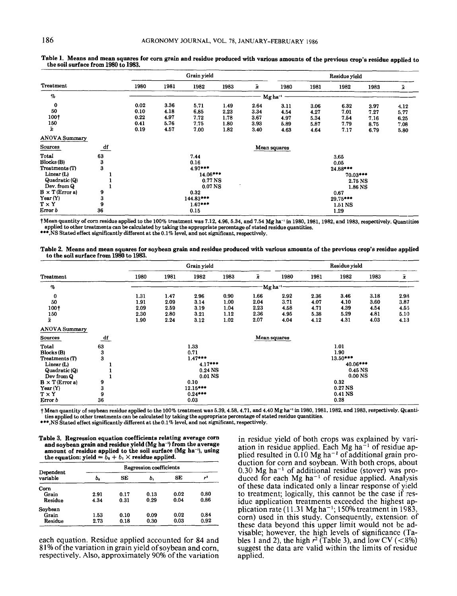|                        |    |      |           | Grain yield       |      |                    |                       |      | Residue yield |      |           |
|------------------------|----|------|-----------|-------------------|------|--------------------|-----------------------|------|---------------|------|-----------|
| Treatment              |    | 1980 | 1981      | 1982              | 1983 | $\bar{\mathbf{x}}$ | 1980                  | 1981 | 1982          | 1983 | $\bar{x}$ |
| %                      |    |      |           |                   |      |                    | $Mg$ ha <sup>-1</sup> |      |               |      |           |
| $\bf{0}$               |    | 0.02 | 3.36      | 5.71              | 1.49 | 2.64               | 3.11                  | 3.06 | 6.32          | 3.97 | 4.12      |
| 50                     |    | 0.10 | 4.18      | 6.85              | 2.23 | 3.34               | 4.54                  | 4.27 | 7.01          | 7.27 | 5.77      |
| 100†                   |    | 0.22 | 4.97      | 7.72              | 1.78 | 3.67               | 4.97                  | 5.34 | 7.54          | 7.16 | 6.25      |
| 150                    |    | 0.41 | 5.76      | 7.75              | 1.80 | 3.93               | 5.89                  | 5.87 | 7.79          | 8.75 | 7.08      |
| ī.                     |    | 0.19 | 4.57      | 7.00              | 1.82 | 3.40               | 4.63                  | 4.64 | 7.17          | 6.79 | 5.80      |
| <b>ANOVA Summary</b>   |    |      |           |                   |      |                    |                       |      |               |      |           |
| Sources                | df |      |           |                   |      |                    | Mean squares          |      |               |      |           |
| Total                  | 63 |      |           | 7.44              |      |                    |                       |      | 3.65          |      |           |
| Blocks(B)              | 3  |      |           | 0.16              |      |                    |                       |      | 0.05          |      |           |
| Treatments (T)         | 3  |      |           | $4.97***$         |      |                    |                       |      | 24.88***      |      |           |
| Linear $(L)$           |    |      |           | 14.06 ***         |      |                    |                       |      | 70.03***      |      |           |
| Quadratic (Q)          |    |      |           | 0.77 NS           |      |                    |                       |      | 2.75 NS       |      |           |
| Dev. from Q            |    |      |           | 0.07 <sub>N</sub> |      |                    |                       |      | 1.86 NS       |      |           |
| $B \times T$ (Error a) | 9  |      |           | 0.32              |      |                    |                       |      | 0.67          |      |           |
| Year $(Y)$             | 3  |      | 144.83*** |                   |      |                    | 29.75***              |      |               |      |           |
| T × Y                  | 9  |      |           | $1.67***$         |      |                    |                       |      | 1.51 NS       |      |           |
| Error b                | 36 | 0.15 |           |                   |      |                    | 1.29                  |      |               |      |           |

Table 1. Means and mean squares for corn grain and residue produced with various amounts of the previous crop's residue applied to the soil surface from 1980 to 1983. **the soil surface from 1980 to 1983.** 

†Mean quantity of corn residue applied to the 100% treatment was 7.12, 4.96, 5.34, and 7.54 Mg ha<sup>-1</sup> in 1980, 1981, 1982, and 1983, respectively. Quantities \*\*\*.NS Stated effect significantly different at the 0.1% level, and not significant, respectively. **applied to other treatments can be calculated by taking the appropriate percentage of stated residue quantities.** 

Table 2. Means and mean squares for soybean grain and residue produced with various amounts of the previous crop's residue applied to the soil surface from 1980 to 1983. **to the soil surface from 1980 to 1983.** 

|                                                                                                                                                  |                                   |                                                                                                                   |                                      | Grain yield                          |                                      |                                                                                                                                             |                                      |                                      | Residue yield                        |                                      |                                      |
|--------------------------------------------------------------------------------------------------------------------------------------------------|-----------------------------------|-------------------------------------------------------------------------------------------------------------------|--------------------------------------|--------------------------------------|--------------------------------------|---------------------------------------------------------------------------------------------------------------------------------------------|--------------------------------------|--------------------------------------|--------------------------------------|--------------------------------------|--------------------------------------|
| Treatment                                                                                                                                        |                                   | 1980                                                                                                              | 1981                                 | 1982                                 | 1983                                 | $\bar{x}$                                                                                                                                   | 1980                                 | 1981                                 | 1982                                 | 1983                                 | $\bar{\pmb{x}}$                      |
| $\%$                                                                                                                                             |                                   |                                                                                                                   |                                      |                                      |                                      | Mgha <sup>-1</sup>                                                                                                                          |                                      |                                      |                                      |                                      |                                      |
| 0<br>50<br>100+<br>150<br>$\bar{x}$                                                                                                              |                                   | 1.31<br>1.91<br>2.09<br>2.30<br>1.90                                                                              | 1.47<br>2.09<br>2.59<br>2.80<br>2.24 | 2.96<br>3.14<br>3.19<br>3.21<br>3.12 | 0.90<br>1.00<br>1.04<br>1.12<br>1.02 | 1.66<br>2.04<br>2.23<br>2.36<br>2.07                                                                                                        | 2.92<br>3.71<br>4.58<br>4.95<br>4.04 | 2.36<br>4.07<br>4.71<br>5.38<br>4.12 | 3.46<br>4.10<br>4.39<br>5.29<br>4.31 | 3.18<br>3.60<br>4.54<br>4.81<br>4.03 | 2.93<br>3.87<br>4.55<br>5.10<br>4.13 |
| <b>ANOVA Summary</b>                                                                                                                             |                                   |                                                                                                                   |                                      |                                      |                                      |                                                                                                                                             |                                      |                                      |                                      |                                      |                                      |
| Sources                                                                                                                                          | $\frac{df}{dt}$                   |                                                                                                                   |                                      |                                      |                                      |                                                                                                                                             | Mean squares                         |                                      |                                      |                                      |                                      |
| Total<br>Blocks(B)<br>Treatments (T)<br>Linear(L)<br>Quadratic (Q)<br>Dev from Q<br>$B \times T$ (Error a)<br>Year(Y)<br>$T \times Y$<br>Error b | 63<br>3<br>3<br>9<br>3<br>9<br>36 | 1.33<br>0.71<br>$1.47***$<br>$4.17***$<br>0.24 <sub>N</sub><br>0.01 NS<br>0.10<br>$12.15***$<br>$0.24***$<br>0.03 |                                      |                                      |                                      | 1.01<br>1.90<br>13.50***<br>40.06***<br>0.45 <sub>N</sub> S<br>0.00 <sub>N</sub><br>0.32<br>0.27 <sub>N</sub><br>0.41 <sub>NS</sub><br>0.28 |                                      |                                      |                                      |                                      |                                      |

† Mean quantity of soybean residue applied to the 100% treatment was 5.39, 4.58, 4.71, and 4.40 Mg ha<sup>-1</sup> in 1980, 1981, 1982, and 1983, respectively. Quanti**ties applied to other treatments can be calculated by taking the appropriate percentage of stated residue quantities.** 

**\*\*\*.NS Stated effect significantly different at the 0.1% level, and not significant, respectively.** 

**Table 3. Regression equation coefficients relating average corn and soybean grain and residue yield (Mg ha-') from the average amount of residue applied to the soil surface (Mg ha-'), using**  the equation: yield  $= \hat{b}_0 + b_1 \times$  residue applied.

|                       | Regression coefficients |      |      |      |      |  |  |  |  |
|-----------------------|-------------------------|------|------|------|------|--|--|--|--|
| Dependent<br>variable | ь.                      | SE   | ь.   | SE   | 72   |  |  |  |  |
| Corn                  |                         |      |      |      |      |  |  |  |  |
| Grain                 | 2.91                    | 0.17 | 0.13 | 0.02 | 0.80 |  |  |  |  |
| Residue               | 4.34                    | 0.31 | 0.29 | 0.04 | 0.86 |  |  |  |  |
| Soybean               |                         |      |      |      |      |  |  |  |  |
| Grain                 | 1.53                    | 0.10 | 0.09 | 0.02 | 0.84 |  |  |  |  |
| Residue               | 2.73                    | 0.18 | 0.30 | 0.03 | 0.92 |  |  |  |  |

**each equation. Residue applied accounted for 84 and 8 1% of the variation in grain yield of soybean and corn, respectively. Also, approximately 90% of the variation** 

**in residue yield of both crops was explained by vari**ation in residue applied. Each Mg ha<sup>-1</sup> of residue ap**plied resulted in** 0.10 **Mg ha-' of additional grain production for corn and soybean. With both crops, about 0.30 Mg ha-' of additional residue (stover) was produced for each Mg ha-' of residue applied. Analysis of these data indicated only a linear response** of **yield to treatment; logically, this cannot be the case if residue application treatments exceeded the highest application rate (1 1.31 Mg ha-';** 150% **treatment in 1983, corn) used in this study. Consequently, extensiori of these data beyond this upper limit would not be advisable; however, the high levels of significance (Ta**bles 1 and 2), the high  $r^2$  (Table 3), and low CV (<8%) **suggest the data are valid within the limits of residue applied.**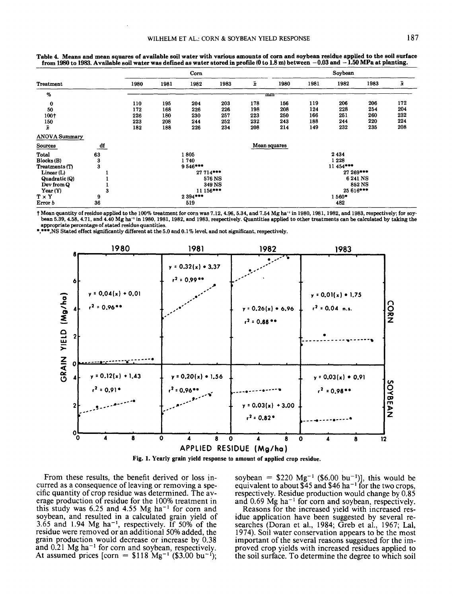|                      |    |      |      | Corn       |        |     |              |      | Soybean   |        |                 |
|----------------------|----|------|------|------------|--------|-----|--------------|------|-----------|--------|-----------------|
| <b>Treatment</b>     |    | 1980 | 1981 | 1982       | 1983   | ī   | 1980         | 1981 | 1982      | 1983   | $\bar{\pmb{x}}$ |
| $\%$                 |    |      |      |            |        |     | mm           |      |           |        |                 |
| $\bf{0}$             |    | 110  | 195  | 204        | 203    | 178 | 156          | 119  | 206       | 206    | 172             |
| 50                   |    | 172  | 168  | 226        | 226    | 198 | 208          | 124  | 228       | 254    | 204             |
| 100†                 |    | 226  | 180  | 230        | 257    | 223 | 250          | 166  | 251       | 260    | 232             |
| 150                  |    | 223  | 208  | 244        | 252    | 232 | 243          | 188  | 244       | 220    | 224             |
| ž                    |    | 182  | 188  | 226        | 234    | 208 | 214          | 149  | 232       | 235    | 208             |
| <b>ANOVA Summary</b> |    |      |      |            |        |     |              |      |           |        |                 |
| Sources              | df |      |      |            |        |     | Mean squares |      |           |        |                 |
| Total                | 63 |      |      | 1805       |        |     |              |      | 2434      |        |                 |
| Blocks(B)            | 3  |      |      | 1740       |        |     |              |      | 1228      |        |                 |
| Treatments (T)       | 3  |      |      | 9546***    |        |     |              |      | 11 454*** |        |                 |
| Linear(L)            |    |      |      | 27 714 *** |        |     |              |      | 27 269*** |        |                 |
| Quadratic (Q)        |    |      |      |            | 576 NS |     |              |      | 6 241 NS  |        |                 |
| Dev from Q           |    |      |      |            | 349 NS |     |              |      |           | 852 NS |                 |
| Year $(Y)$           | 3  |      |      | 11 156***  |        |     |              |      | 25 616*** |        |                 |
| $T \times Y$         | 9  |      |      | 2 394 ***  |        |     | 1560*        |      |           |        |                 |
| Error b              | 36 |      | 519  |            |        |     |              | 482  |           |        |                 |

**Table 4. Means and mean squares of available soil water with various amounts of corn and soybean residue applied to the soil surface from 1980 to 1983. Available soil water was defined as water stored in mofile (0 to 1.8 m) between -0.03 and** - **1.50 MPa at planting.** 

† Mean quantity of residue applied to the 100% treatment for corn was 7.12, 4.96, 5.34, and 7.54 Mg ha<sup>-1</sup> in 1980, 1981, 1982, and 1983, respectively; for soybean 5.39, 4.58, 4.71, and 4.40 Mg ha<sup>-1</sup> in 1980, 1981, 1982, and 1983, respectively. Quantities applied to other treatments can be calculated by taking the **appropriate percentage of stated residue quantities.** 

**\*,\*\*\*,NS Stated effect significantly different at the 5.0 and 0.1% level, and not significant, respectively.** 





From these results, the benefit derived or loss incurred as a consequence of leaving or removing a specific quantity of crop residue was determined. The average production of residue for the 100% treatment in this study was  $6.25$  and  $4.55$  Mg ha<sup>-1</sup> for corn and soybean, and resulted in a calculated grain yield of 3.65 and 1.94 Mg ha-l, respectively. **If** 50% of the residue were removed or an additional 50% added, the grain production would decrease or increase by 0.38 and 0.21 Mg ha<sup>-1</sup> for corn and soybean, respectively. At assumed prices [corn =  $$118 \text{ Mg}^{-1}$  (\$3.00 bu<sup>-1</sup>);

soybean =  $$220 \text{ Mg}^{-1} ($6.00 \text{ bu}^{-1})]$ , this would be equivalent to about \$45 and \$46 ha<sup>-1</sup> for the two crops, respectively. Residue production would change by 0.85 and  $0.69$  Mg ha<sup>-1</sup> for corn and soybean, respectively.

Reasons for the increased yield with increased residue application have been suggested by several researches (Doran et al., 1984; Greb et al., 1967; Lal, 1974). Soil water conservation appears to be the most important of the several reasons suggested for the improved crop yields with increased residues applied to the soil surface. To determine the degree to which soil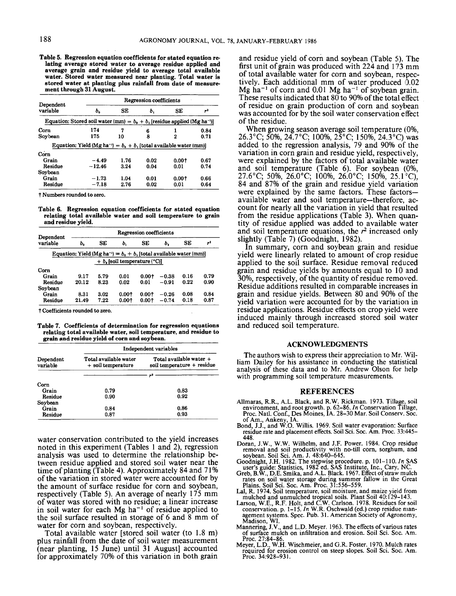**Table 5. Regression equation coefficients for stated equation relating average stored water to average residue applied and average grain and residue yield to average total available water. Stored water measured near planting. Total water is stored water at planting plus rainfall from date of measurement through 31 August.**

|                       |                                                                                         | Regression coefficients |      |       |                |  |  |  |  |
|-----------------------|-----------------------------------------------------------------------------------------|-------------------------|------|-------|----------------|--|--|--|--|
| Dependent<br>variable | ь.                                                                                      | SЕ                      | ь.   | SE    | r <sup>2</sup> |  |  |  |  |
|                       | Equation: Stored soil water (mm) = $b_0 + b_1$ [residue applied (Mg ha <sup>-1</sup> )] |                         |      |       |                |  |  |  |  |
| Corn                  | 174                                                                                     | 7                       | 6    |       | 0.84           |  |  |  |  |
| Sovbean               | 175                                                                                     | 10                      | 8    | 2     | 0.71           |  |  |  |  |
|                       | Equation: Yield (Mg ha <sup>-1</sup> ) = $b_0 + b_1$ [total available water (mm)]       |                         |      |       |                |  |  |  |  |
| Corn                  |                                                                                         |                         |      |       |                |  |  |  |  |
| Grain                 | $-4.49$                                                                                 | 1.76                    | 0.02 | 0.001 | 0.67           |  |  |  |  |
| Residue               | $-12.46$                                                                                | 3.24                    | 0.04 | 0.01  | 0.74           |  |  |  |  |
| Soybean               |                                                                                         |                         |      |       |                |  |  |  |  |
| Grain                 | $-1.73$                                                                                 | 1.04                    | 0.01 | 0.001 | 0.66           |  |  |  |  |
| Residue               | $-7.18$                                                                                 | 2.76                    | 0.02 | 0.01  | 0.64           |  |  |  |  |

t Numbers rounded to zero.

**Table 6. Regression equation coefficients for stated equation relating total available water and soil temperature to grain and residue yield.**

| Dependent |                                                                                   |      |                                | Regression coefficients |         |      |      |
|-----------|-----------------------------------------------------------------------------------|------|--------------------------------|-------------------------|---------|------|------|
| variable  | ь.                                                                                | SЕ   | ь,                             | SЕ                      | ь.      | SE   | 7ء   |
|           | Equation: Yield (Mg ha <sup>-1</sup> ) = $b_0 + b_1$ [total available water (mm)] |      |                                |                         |         |      |      |
|           |                                                                                   |      | $+ b$ , soil temperature (°C)] |                         |         |      |      |
| Corn      |                                                                                   |      |                                |                         |         |      |      |
| Grain     | 9.17                                                                              | 5.79 | 0.01                           | 0.001                   | $-0.38$ | 0.16 | 0.79 |
| Residue   | 20.12                                                                             | 8.23 | 0.02                           | 0.01                    | $-0.91$ | 0.22 | 0.90 |
| Soybean   |                                                                                   |      |                                |                         |         |      |      |
| Grain     | 8.31                                                                              | 3.02 | 0.001                          | 0.001                   | $-0.26$ | 0.08 | 0.84 |
| Residue   | 21.49                                                                             | 7.22 | 0.001                          | 0.001                   | $-0.74$ | 0.18 | 0.87 |

t Coefficients rounded to zero.

**Table 7. Coefficients of determination for regression equations relating total available water, soil temperature, and residue to grain and residue yield of corn and soybean.**

|                       | Independent variables                       |                                                         |  |  |  |  |
|-----------------------|---------------------------------------------|---------------------------------------------------------|--|--|--|--|
| Dependent<br>variable | Total available water<br>+ soil temperature | Total available water $+$<br>soil temperature + residue |  |  |  |  |
|                       |                                             |                                                         |  |  |  |  |
| Corn                  |                                             |                                                         |  |  |  |  |
| Grain                 | 0.79                                        | 0.83                                                    |  |  |  |  |
| Residue               | 0.90                                        | 0.92                                                    |  |  |  |  |
| Soybean               |                                             |                                                         |  |  |  |  |
| Grain                 | 0.84                                        | 0.86                                                    |  |  |  |  |
| Residue               | 0.87                                        | 0.93                                                    |  |  |  |  |

water conservation contributed to the yield increases noted in this experiment (Tables 1 and 2), regression analysis was used to determine the relationship between residue applied and stored soil water near the time of planting (Table 4). Approximately 84 and 71% of the variation in stored water were accounted for by the amount of surface residue for corn and soybean, respectively (Table *5).* An average of nearly 175 mm of water was stored with no residue; a linear increase in soil water for each  $Mg$  ha<sup> $-1$ </sup> of residue applied to the soil surface resulted in storage of 6 and 8 mm of water for corn and soybean, respectively.

Total available water [stored soil water (to 1.8 m) plus rainfall from the date of soil water measurement (near planting, 15 June) until 31 August] accounted for approximately 70% of this variation in both grain and residue yield of corn and soybean (Table 5). The first unit of grain was produced with  $224$  and  $173$  mm of total available water for corn and soybean, respectively. Each additional mm of water produced  $0.02$  $Mg$  ha<sup>-1</sup> of corn and 0.01 Mg ha<sup>-1</sup> of soybean grain. These results indicated that  $80$  to 90% of the total effect of residue on grain production of corn and soybean was accounted for by the soil water conservation effect of the residue.

When growing season average soil temperature (0%, 26.3°C; 50%, 24.7°C; 100%, 25°C; 150%, 24.3°C) was added to the regression analysis, 79 and 90% of the variation in corn grain and residue yield, respectively, were explained by the factors of total available water and soil temperature (Table 6). For soybean (0%, 27.6°C; 50%, 26.0°C; 100%, 26.0°C; 150%, 25.1°C), 84 and 87% of the grain and residue yield variation were explained by the same factors. These factorsavailable water and soil temperature—therefore, account for nearly all the variation in yield that resulted from the residue applications (Table 3). When quantity of residue applied was added to available water and soil temperature equations, the *r 2* increased only slightly (Table 7) (Goodnight, 1982).

In summary, corn and soybean grain and residue yield were linearly related to amount of crop residue applied to the soil surface. Residue removal reduced grain and residue yields by amounts equal to 10 and 30%, respectively, of the quantity of residue removed. Residue additions resulted in comparable increases in grain and residue yields. Between 80 and 90% of the yield variation were accounted for by the variation in residue applications. Residue effects on crop yield were induced mainly through increased stored soil water and reduced soil temperature.

#### **ACKNOWLEDGMENTS**

The authors wish to express their appreciation to Mr. William Dailey for his assistance in conducting the statistical analysis of these data and to Mr. Andrew Olson for help with programming soil temperature measurements.

#### **REFERENCES**

- Allmaras, R.R., A.L. Black, and R.W. Rickman. 1973. Tillage, soil<br>environment, and root growth. p. 62-86. In Conservation Tillage,<br>Proc. Natl. Conf., Des Moines, IA. 28-30 Mar. Soil Conserv. Soc. of Am., Ankeny, IA.<br>Bond, J.J., and W.O. Willis. 1969. Soil water evaporation: Surface
- residue rate and placement effects. Soil Sci. Soc. Am. Proc. 33:445– 448.
- Doran, J.W., W.W. Wilhelm, and J.F. Power. 1984. Crop residue removal and soil productivity with no-till corn, sorghum, and<br>soybean. Soil Sci. Am. J. 48:640–645.
- Soodnight, J.H. 1982. The stepwise procedure. p. 101–110. In SAS<br>user's guide: Statistics, 1982 ed. SAS Institute, Inc., Cary, NC.<br>Greb, B.W., D.E. Smika, and A.L. Black. 1967. Effect of straw mulch
- rates on soil water storage during summer fallow in the Great<br>Plains. Soil Sci. Soc. Am. Proc. 31:556–559.<br>Lal, R. 1974. Soil temperature, soil moisture, and maize yield from
- 
- Lai, R. 1974. Soli temperature, soli noisuture, and mail exploration.<br>muchd and unnulched tropical soils. Plant Soil 40:129-143.<br>Larson, W.E., R.F. Holt, and C.W. Carlson. 1978. Residues for soil<br>conservation. p. 1-15. In Madison, WI.
- Mannering, J.V., and L.D. Meyer. 1963. The effects of various rates of surface mulch on infiltration and erosion. Soil Sci. Soc. Am. Proc. 27:84-86.
- Mever, L.D., W.H. Wischmeier, and G.R. Foster, 1970. Mulch rates required for erosion control on steep slopes. Soil Sci. Soc. Am. Proc. 34:928-931.